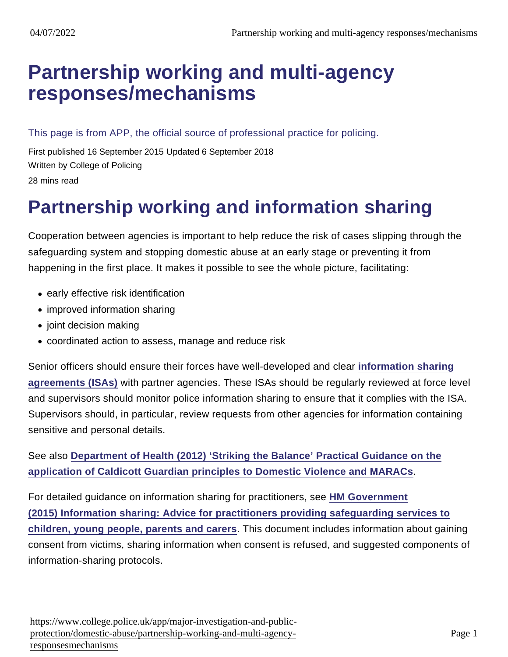# [Partnership working and multi-agency](https://www.college.police.uk/app/major-investigation-and-public-protection/domestic-abuse/partnership-working-and-multi-agency-responsesmechanisms) responses/mechanisms

This page is from APP, the official source of professional practice for policing.

First published 16 September 2015 Updated 6 September 2018 Written by College of Policing 28 mins read

# Partnership working and information sharing

Cooperation between agencies is important to help reduce the risk of cases slipping through the safeguarding system and stopping domestic abuse at an early stage or preventing it from happening in the first place. It makes it possible to see the whole picture, facilitating:

- early effective risk identification
- improved information sharing
- joint decision making
- coordinated action to assess, manage and reduce risk

Senior officers should ensure their forces have well-developed and clear [information sharing](https://www.app.college.police.uk/app-content/information-management/sharing/#information-sharing-agreement) [agreements \(ISAs\)](https://www.app.college.police.uk/app-content/information-management/sharing/#information-sharing-agreement) with partner agencies. These ISAs should be regularly reviewed at force level and supervisors should monitor police information sharing to ensure that it complies with the ISA. Supervisors should, in particular, review requests from other agencies for information containing sensitive and personal details.

See also [Department of Health \(2012\) 'Striking the Balance' Practical Guidance on the](https://www.gov.uk/government/publications/striking-the-balance-practical-guidance-on-the-application-of-caldicott-guardian-principles-to-domestic-violence-and-maracs-multi-agency-risk-assessment-conferences) [application of Caldicott Guardian principles to Domestic Violence and MARACs](https://www.gov.uk/government/publications/striking-the-balance-practical-guidance-on-the-application-of-caldicott-guardian-principles-to-domestic-violence-and-maracs-multi-agency-risk-assessment-conferences) .

For detailed guidance on information sharing for practitioners, see [HM Government](https://www.gov.uk/government/publications/safeguarding-practitioners-information-sharing-advice) [\(2015\) Information sharing: Advice for practitioners providing safeguarding services to](https://www.gov.uk/government/publications/safeguarding-practitioners-information-sharing-advice) [children, young people, parents and carers](https://www.gov.uk/government/publications/safeguarding-practitioners-information-sharing-advice) . This document includes information about gaining consent from victims, sharing information when consent is refused, and suggested components of information-sharing protocols.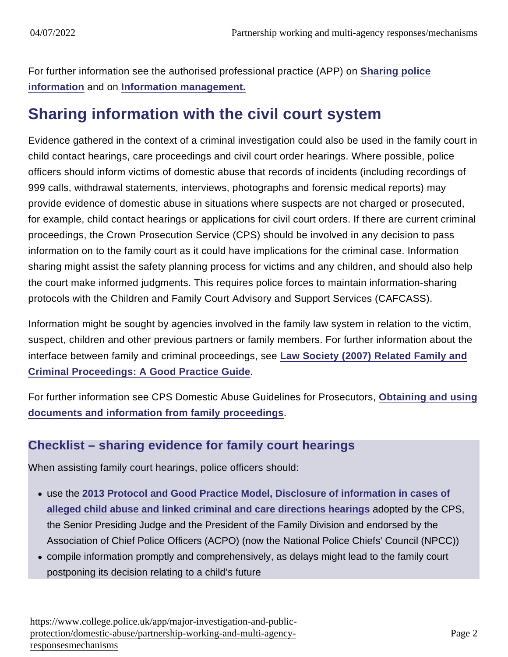For further information see the authorised professional practice (APP) on [Sharing police](https://www.app.college.police.uk/app-content/information-management/sharing/#information-sharing-agreement) [information](https://www.app.college.police.uk/app-content/information-management/sharing/#information-sharing-agreement) and on [Information management.](https://www.app.college.police.uk/app-content/information-management/)

# Sharing information with the civil court system

Evidence gathered in the context of a criminal investigation could also be used in the family court in child contact hearings, care proceedings and civil court order hearings. Where possible, police officers should inform victims of domestic abuse that records of incidents (including recordings of 999 calls, withdrawal statements, interviews, photographs and forensic medical reports) may provide evidence of domestic abuse in situations where suspects are not charged or prosecuted, for example, child contact hearings or applications for civil court orders. If there are current criminal proceedings, the Crown Prosecution Service (CPS) should be involved in any decision to pass information on to the family court as it could have implications for the criminal case. Information sharing might assist the safety planning process for victims and any children, and should also help the court make informed judgments. This requires police forces to maintain information-sharing protocols with the Children and Family Court Advisory and Support Services (CAFCASS).

Information might be sought by agencies involved in the family law system in relation to the victim, suspect, children and other previous partners or family members. For further information about the interface between family and criminal proceedings, see [Law Society \(2007\) Related Family and](http://www.judiciary.gov.uk/wp-content/uploads/JCO/Documents/FJC/Publications/RelatedFamCrimPro.pdf) [Criminal Proceedings: A Good Practice Guide](http://www.judiciary.gov.uk/wp-content/uploads/JCO/Documents/FJC/Publications/RelatedFamCrimPro.pdf) .

For further information see CPS Domestic Abuse Guidelines for Prosecutors, [Obtaining and using](http://www.cps.gov.uk/legal/d_to_g/domestic_abuse_guidelines_for_prosecutors/#a89) [documents and information from family proceedings](http://www.cps.gov.uk/legal/d_to_g/domestic_abuse_guidelines_for_prosecutors/#a89) .

### Checklist – sharing evidence for family court hearings

When assisting family court hearings, police officers should:

- use the [2013 Protocol and Good Practice Model, Disclosure of information in cases of](http://www.cps.gov.uk/publications/docs/third_party_protocol_2013.pdf) [alleged child abuse and linked criminal and care directions hearings](http://www.cps.gov.uk/publications/docs/third_party_protocol_2013.pdf) adopted by the CPS, the Senior Presiding Judge and the President of the Family Division and endorsed by the Association of Chief Police Officers (ACPO) (now the National Police Chiefs' Council (NPCC))
- compile information promptly and comprehensively, as delays might lead to the family court postponing its decision relating to a child's future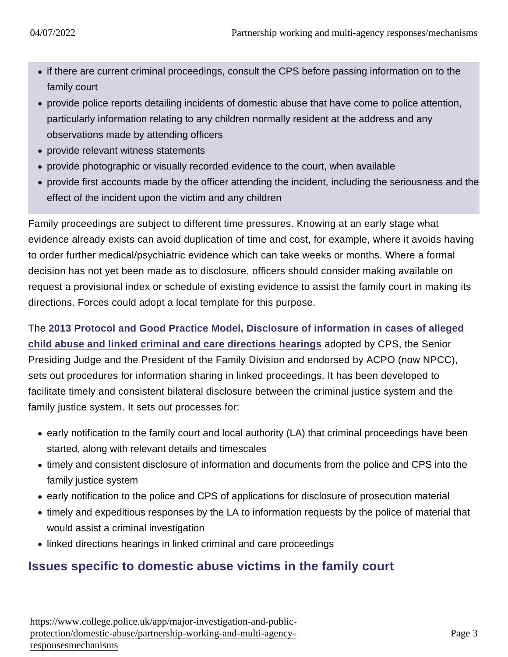- if there are current criminal proceedings, consult the CPS before passing information on to the family court
- provide police reports detailing incidents of domestic abuse that have come to police attention, particularly information relating to any children normally resident at the address and any observations made by attending officers
- provide relevant witness statements
- provide photographic or visually recorded evidence to the court, when available
- provide first accounts made by the officer attending the incident, including the seriousness and the effect of the incident upon the victim and any children

Family proceedings are subject to different time pressures. Knowing at an early stage what evidence already exists can avoid duplication of time and cost, for example, where it avoids having to order further medical/psychiatric evidence which can take weeks or months. Where a formal decision has not yet been made as to disclosure, officers should consider making available on request a provisional index or schedule of existing evidence to assist the family court in making its directions. Forces could adopt a local template for this purpose.

The [2013 Protocol and Good Practice Model, Disclosure of information in cases of alleged](http://www.cps.gov.uk/publications/docs/third_party_protocol_2013.pdf) [child abuse and linked criminal and care directions hearings](http://www.cps.gov.uk/publications/docs/third_party_protocol_2013.pdf) adopted by CPS, the Senior Presiding Judge and the President of the Family Division and endorsed by ACPO (now NPCC), sets out procedures for information sharing in linked proceedings. It has been developed to facilitate timely and consistent bilateral disclosure between the criminal justice system and the family justice system. It sets out processes for:

- early notification to the family court and local authority (LA) that criminal proceedings have been started, along with relevant details and timescales
- timely and consistent disclosure of information and documents from the police and CPS into the family justice system
- early notification to the police and CPS of applications for disclosure of prosecution material
- timely and expeditious responses by the LA to information requests by the police of material that would assist a criminal investigation
- linked directions hearings in linked criminal and care proceedings

# Issues specific to domestic abuse victims in the family court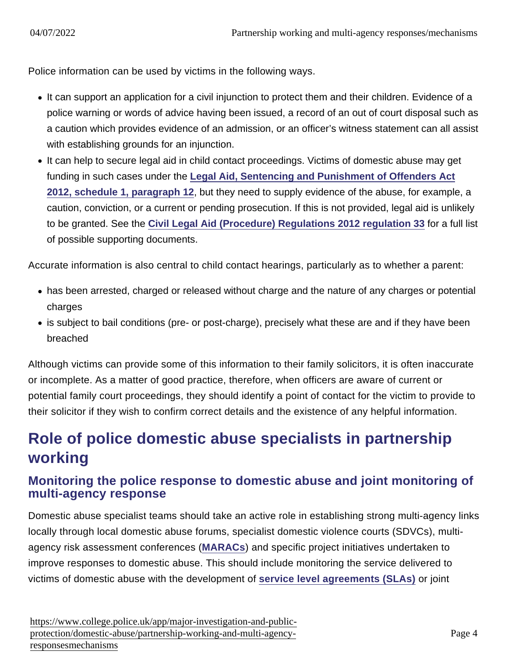Police information can be used by victims in the following ways.

- It can support an application for a civil injunction to protect them and their children. Evidence of a police warning or words of advice having been issued, a record of an out of court disposal such as a caution which provides evidence of an admission, or an officer's witness statement can all assist with establishing grounds for an injunction.
- It can help to secure legal aid in child contact proceedings. Victims of domestic abuse may get funding in such cases under the [Legal Aid, Sentencing and Punishment of Offenders Act](http://www.legislation.gov.uk/ukpga/2012/10/schedule/1/part/1/crossheading/victims-of-domestic-violence-and-family-matters) [2012, schedule 1, paragraph 12](http://www.legislation.gov.uk/ukpga/2012/10/schedule/1/part/1/crossheading/victims-of-domestic-violence-and-family-matters) , but they need to supply evidence of the abuse, for example, a caution, conviction, or a current or pending prosecution. If this is not provided, legal aid is unlikely to be granted. See the [Civil Legal Aid \(Procedure\) Regulations 2012 regulation 33](http://www.legislation.gov.uk/uksi/2012/3098/regulation/33/made) for a full list of possible supporting documents.

Accurate information is also central to child contact hearings, particularly as to whether a parent:

- has been arrested, charged or released without charge and the nature of any charges or potential charges
- is subject to bail conditions (pre- or post-charge), precisely what these are and if they have been breached

Although victims can provide some of this information to their family solicitors, it is often inaccurate or incomplete. As a matter of good practice, therefore, when officers are aware of current or potential family court proceedings, they should identify a point of contact for the victim to provide to their solicitor if they wish to confirm correct details and the existence of any helpful information.

# Role of police domestic abuse specialists in partnership working

### Monitoring the police response to domestic abuse and joint monitoring of multi-agency response

Domestic abuse specialist teams should take an active role in establishing strong multi-agency links locally through local domestic abuse forums, specialist domestic violence courts (SDVCs), multiagency risk assessment conferences [\(MARACs](https://www.app.college.police.uk/app-content/major-investigation-and-public-protection/domestic-abuse/partnership-working-and-multi-agency-responses/#multi-agency-risk-assessment-conferences-for-domestic-abuse-) ) and specific project initiatives undertaken to improve responses to domestic abuse. This should include monitoring the service delivered to victims of domestic abuse with the development of [service level agreements \(SLAs\)](https://www.app.college.police.uk/app-content/major-investigation-and-public-protection/domestic-abuse/partnership-working-and-multi-agency-responses/#service-level-agreements-and-joint-action-plans) or joint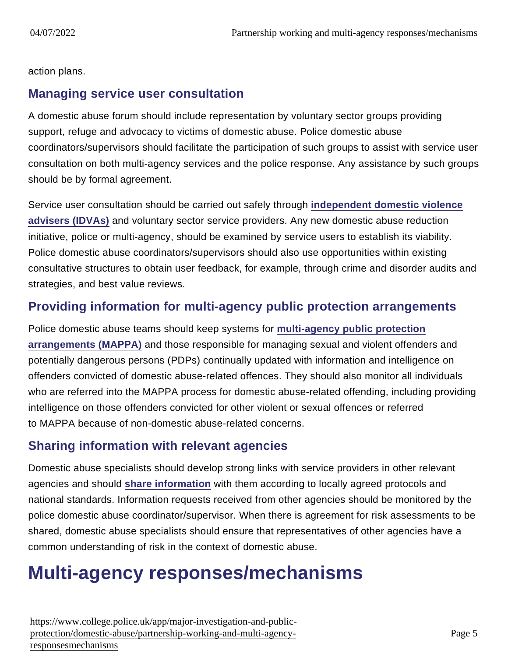action plans.

### Managing service user consultation

A domestic abuse forum should include representation by voluntary sector groups providing support, refuge and advocacy to victims of domestic abuse. Police domestic abuse coordinators/supervisors should facilitate the participation of such groups to assist with service user consultation on both multi-agency services and the police response. Any assistance by such groups should be by formal agreement.

Service user consultation should be carried out safely through [independent domestic violence](https://www.app.college.police.uk/app-content/major-investigation-and-public-protection/domestic-abuse/victim-safety-and-support/#independent-domestic-violence-adviser-young-people8217s-violence-adviser-and-independent-sexual-violence-advisers) [advisers \(IDVAs\)](https://www.app.college.police.uk/app-content/major-investigation-and-public-protection/domestic-abuse/victim-safety-and-support/#independent-domestic-violence-adviser-young-people8217s-violence-adviser-and-independent-sexual-violence-advisers) and voluntary sector service providers. Any new domestic abuse reduction initiative, police or multi-agency, should be examined by service users to establish its viability. Police domestic abuse coordinators/supervisors should also use opportunities within existing consultative structures to obtain user feedback, for example, through crime and disorder audits and strategies, and best value reviews.

### Providing information for multi-agency public protection arrangements

Police domestic abuse teams should keep systems for [multi-agency public protection](https://www.app.college.police.uk/app-content/major-investigation-and-public-protection/domestic-abuse/partnership-working-and-multi-agency-responses/#multi-agency-public-protection-arrangements-) [arrangements \(MAPPA\)](https://www.app.college.police.uk/app-content/major-investigation-and-public-protection/domestic-abuse/partnership-working-and-multi-agency-responses/#multi-agency-public-protection-arrangements-) and those responsible for managing sexual and violent offenders and potentially dangerous persons (PDPs) continually updated with information and intelligence on offenders convicted of domestic abuse-related offences. They should also monitor all individuals who are referred into the MAPPA process for domestic abuse-related offending, including providing intelligence on those offenders convicted for other violent or sexual offences or referred to MAPPA because of non-domestic abuse-related concerns.

# Sharing information with relevant agencies

Domestic abuse specialists should develop strong links with service providers in other relevant agencies and should [share information](https://www.app.college.police.uk/app-content/information-management/sharing/#information-sharing-agreement) with them according to locally agreed protocols and national standards. Information requests received from other agencies should be monitored by the police domestic abuse coordinator/supervisor. When there is agreement for risk assessments to be shared, domestic abuse specialists should ensure that representatives of other agencies have a common understanding of risk in the context of domestic abuse.

# Multi-agency responses/mechanisms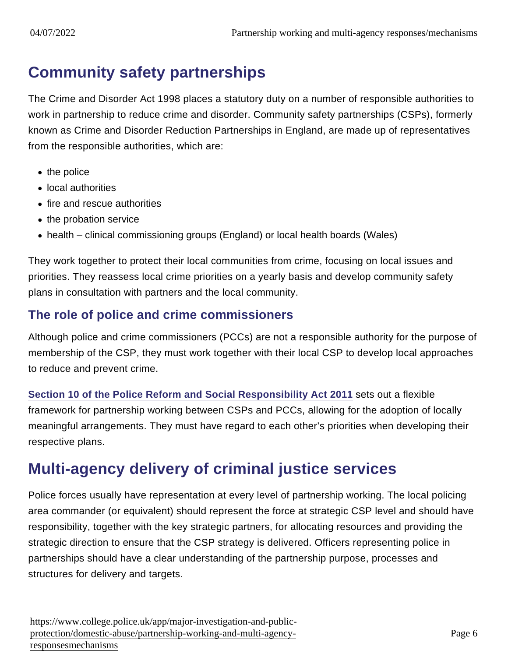# Community safety partnerships

The Crime and Disorder Act 1998 places a statutory duty on a number of responsible authorities to work in partnership to reduce crime and disorder. Community safety partnerships (CSPs), formerly known as Crime and Disorder Reduction Partnerships in England, are made up of representatives from the responsible authorities, which are:

- $\bullet$  the police
- local authorities
- fire and rescue authorities
- the probation service
- health clinical commissioning groups (England) or local health boards (Wales)

They work together to protect their local communities from crime, focusing on local issues and priorities. They reassess local crime priorities on a yearly basis and develop community safety plans in consultation with partners and the local community.

# The role of police and crime commissioners

Although police and crime commissioners (PCCs) are not a responsible authority for the purpose of membership of the CSP, they must work together with their local CSP to develop local approaches to reduce and prevent crime.

[Section 10 of the Police Reform and Social Responsibility Act 2011](http://www.legislation.gov.uk/ukpga/2011/13/section/10/enacted) sets out a flexible framework for partnership working between CSPs and PCCs, allowing for the adoption of locally meaningful arrangements. They must have regard to each other's priorities when developing their respective plans.

# Multi-agency delivery of criminal justice services

Police forces usually have representation at every level of partnership working. The local policing area commander (or equivalent) should represent the force at strategic CSP level and should have responsibility, together with the key strategic partners, for allocating resources and providing the strategic direction to ensure that the CSP strategy is delivered. Officers representing police in partnerships should have a clear understanding of the partnership purpose, processes and structures for delivery and targets.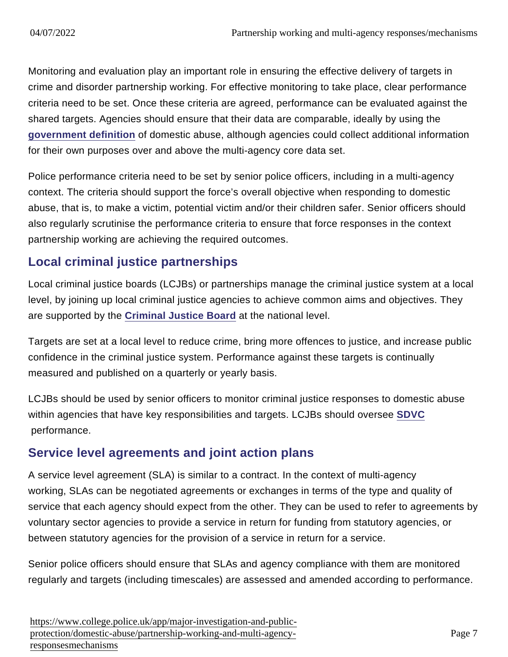Monitoring and evaluation play an important role in ensuring the effective delivery of targets in crime and disorder partnership working. For effective monitoring to take place, clear performance criteria need to be set. Once these criteria are agreed, performance can be evaluated against the shared targets. Agencies should ensure that their data are comparable, ideally by using the [government definition](https://www.gov.uk/domestic-violence-and-abuse) of domestic abuse, although agencies could collect additional information for their own purposes over and above the multi-agency core data set.

Police performance criteria need to be set by senior police officers, including in a multi-agency context. The criteria should support the force's overall objective when responding to domestic abuse, that is, to make a victim, potential victim and/or their children safer. Senior officers should also regularly scrutinise the performance criteria to ensure that force responses in the context partnership working are achieving the required outcomes.

### Local criminal justice partnerships

Local criminal justice boards (LCJBs) or partnerships manage the criminal justice system at a local level, by joining up local criminal justice agencies to achieve common aims and objectives. They are supported by the [Criminal Justice Board](https://www.gov.uk/government/groups/criminal-justice-board) at the national level.

Targets are set at a local level to reduce crime, bring more offences to justice, and increase public confidence in the criminal justice system. Performance against these targets is continually measured and published on a quarterly or yearly basis.

LCJBs should be used by senior officers to monitor criminal justice responses to domestic abuse within agencies that have key responsibilities and targets. LCJBs should oversee [SDVC](https://www.app.college.police.uk/app-content/major-investigation-and-public-protection/domestic-abuse/partnership-working-and-multi-agency-responses/#specialist-domestic-violence-court-systems) performance.

# Service level agreements and joint action plans

A service level agreement (SLA) is similar to a contract. In the context of multi-agency working, SLAs can be negotiated agreements or exchanges in terms of the type and quality of service that each agency should expect from the other. They can be used to refer to agreements by voluntary sector agencies to provide a service in return for funding from statutory agencies, or between statutory agencies for the provision of a service in return for a service.

Senior police officers should ensure that SLAs and agency compliance with them are monitored regularly and targets (including timescales) are assessed and amended according to performance.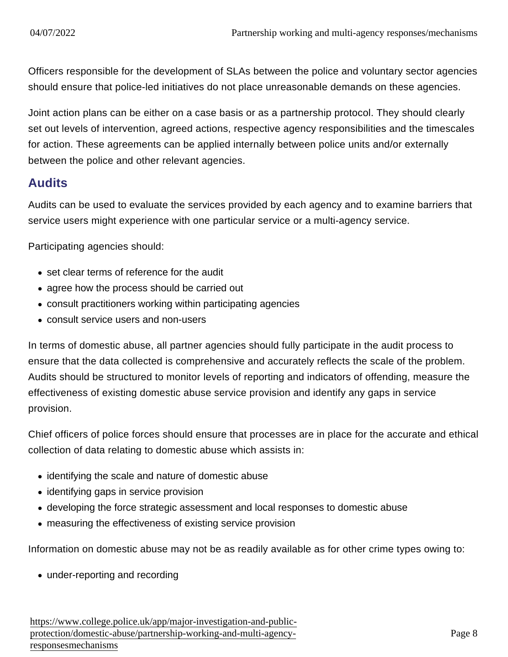Officers responsible for the development of SLAs between the police and voluntary sector agencies should ensure that police-led initiatives do not place unreasonable demands on these agencies.

Joint action plans can be either on a case basis or as a partnership protocol. They should clearly set out levels of intervention, agreed actions, respective agency responsibilities and the timescales for action. These agreements can be applied internally between police units and/or externally between the police and other relevant agencies.

### Audits

Audits can be used to evaluate the services provided by each agency and to examine barriers that service users might experience with one particular service or a multi-agency service.

Participating agencies should:

- set clear terms of reference for the audit
- agree how the process should be carried out
- consult practitioners working within participating agencies
- consult service users and non-users

In terms of domestic abuse, all partner agencies should fully participate in the audit process to ensure that the data collected is comprehensive and accurately reflects the scale of the problem. Audits should be structured to monitor levels of reporting and indicators of offending, measure the effectiveness of existing domestic abuse service provision and identify any gaps in service provision.

Chief officers of police forces should ensure that processes are in place for the accurate and ethical collection of data relating to domestic abuse which assists in:

- identifying the scale and nature of domestic abuse
- identifying gaps in service provision
- developing the force strategic assessment and local responses to domestic abuse
- measuring the effectiveness of existing service provision

Information on domestic abuse may not be as readily available as for other crime types owing to:

• under-reporting and recording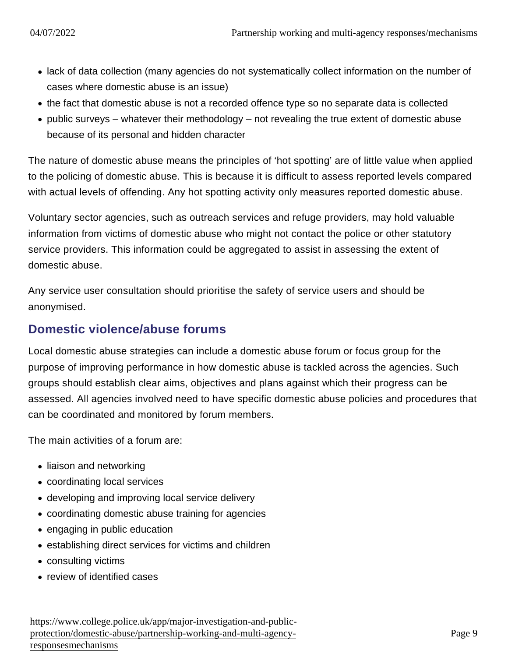- lack of data collection (many agencies do not systematically collect information on the number of cases where domestic abuse is an issue)
- the fact that domestic abuse is not a recorded offence type so no separate data is collected
- $\bullet$  public surveys whatever their methodology not revealing the true extent of domestic abuse because of its personal and hidden character

The nature of domestic abuse means the principles of 'hot spotting' are of little value when applied to the policing of domestic abuse. This is because it is difficult to assess reported levels compared with actual levels of offending. Any hot spotting activity only measures reported domestic abuse.

Voluntary sector agencies, such as outreach services and refuge providers, may hold valuable information from victims of domestic abuse who might not contact the police or other statutory service providers. This information could be aggregated to assist in assessing the extent of domestic abuse.

Any service user consultation should prioritise the safety of service users and should be anonymised.

### Domestic violence/abuse forums

Local domestic abuse strategies can include a domestic abuse forum or focus group for the purpose of improving performance in how domestic abuse is tackled across the agencies. Such groups should establish clear aims, objectives and plans against which their progress can be assessed. All agencies involved need to have specific domestic abuse policies and procedures that can be coordinated and monitored by forum members.

The main activities of a forum are:

- liaison and networking
- coordinating local services
- developing and improving local service delivery
- coordinating domestic abuse training for agencies
- engaging in public education
- establishing direct services for victims and children
- consulting victims
- review of identified cases

[https://www.college.police.uk/app/major-investigation-and-pu](https://www.college.police.uk/app/major-investigation-and-public-protection/domestic-abuse/partnership-working-and-multi-agency-responsesmechanisms)blic[protection/domestic-abuse/partnership-working-and-multi-age](https://www.college.police.uk/app/major-investigation-and-public-protection/domestic-abuse/partnership-working-and-multi-agency-responsesmechanisms)ncy[responsesmechanis](https://www.college.police.uk/app/major-investigation-and-public-protection/domestic-abuse/partnership-working-and-multi-agency-responsesmechanisms)ms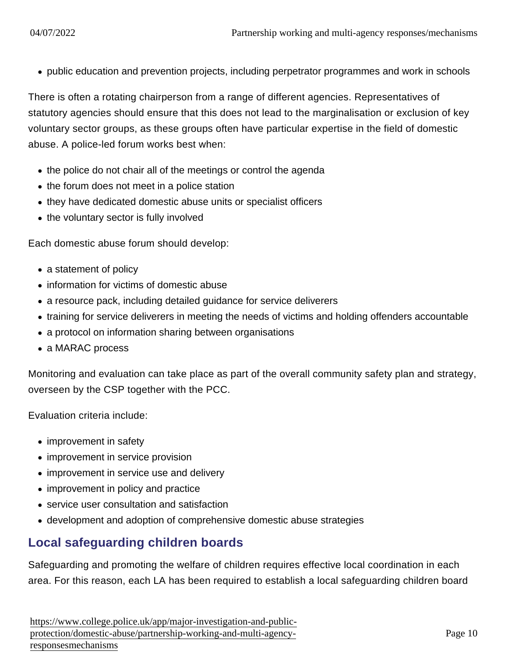public education and prevention projects, including perpetrator programmes and work in schools

There is often a rotating chairperson from a range of different agencies. Representatives of statutory agencies should ensure that this does not lead to the marginalisation or exclusion of key voluntary sector groups, as these groups often have particular expertise in the field of domestic abuse. A police-led forum works best when:

- the police do not chair all of the meetings or control the agenda
- the forum does not meet in a police station
- they have dedicated domestic abuse units or specialist officers
- the voluntary sector is fully involved

Each domestic abuse forum should develop:

- a statement of policy
- information for victims of domestic abuse
- a resource pack, including detailed guidance for service deliverers
- training for service deliverers in meeting the needs of victims and holding offenders accountable
- a protocol on information sharing between organisations
- a MARAC process

Monitoring and evaluation can take place as part of the overall community safety plan and strategy, overseen by the CSP together with the PCC.

Evaluation criteria include:

- improvement in safety
- improvement in service provision
- improvement in service use and delivery
- improvement in policy and practice
- service user consultation and satisfaction
- development and adoption of comprehensive domestic abuse strategies

# Local safeguarding children boards

Safeguarding and promoting the welfare of children requires effective local coordination in each area. For this reason, each LA has been required to establish a local safeguarding children board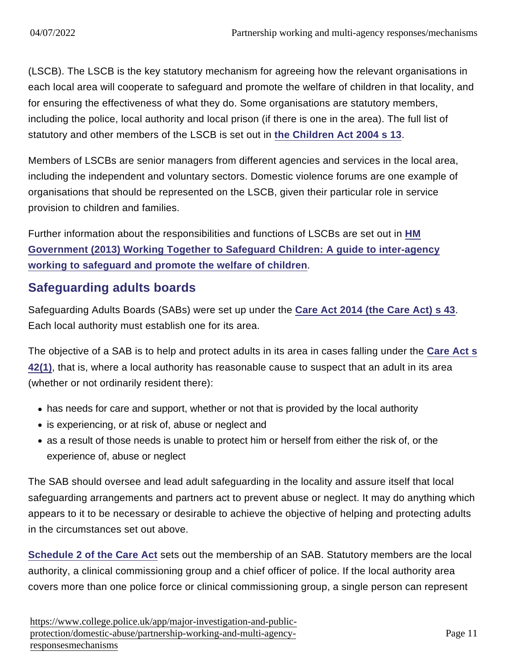(LSCB). The LSCB is the key statutory mechanism for agreeing how the relevant organisations in each local area will cooperate to safeguard and promote the welfare of children in that locality, and for ensuring the effectiveness of what they do. Some organisations are statutory members, including the police, local authority and local prison (if there is one in the area). The full list of statutory and other members of the LSCB is set out in [the Children Act 2004 s 13](http://www.legislation.gov.uk/ukpga/2004/31/section/13) .

Members of LSCBs are senior managers from different agencies and services in the local area, including the independent and voluntary sectors. Domestic violence forums are one example of organisations that should be represented on the LSCB, given their particular role in service provision to children and families.

Further information about the responsibilities and functions of LSCBs are set out in [HM](https://www.gov.uk/government/publications/working-together-to-safeguard-children) [Government \(2013\) Working Together to Safeguard Children: A guide to inter-agency](https://www.gov.uk/government/publications/working-together-to-safeguard-children) [working to safeguard and promote the welfare of children](https://www.gov.uk/government/publications/working-together-to-safeguard-children) .

### Safeguarding adults boards

Safeguarding Adults Boards (SABs) were set up under the [Care Act 2014 \(the Care Act\) s 43](http://www.legislation.gov.uk/ukpga/2014/23/section/43/enacted) . Each local authority must establish one for its area.

The objective of a SAB is to help and protect adults in its area in cases falling under the [Care Act s](http://www.legislation.gov.uk/ukpga/2014/23/section/42/enacted) [42\(1\),](http://www.legislation.gov.uk/ukpga/2014/23/section/42/enacted) that is, where a local authority has reasonable cause to suspect that an adult in its area (whether or not ordinarily resident there):

- has needs for care and support, whether or not that is provided by the local authority
- is experiencing, or at risk of, abuse or neglect and
- as a result of those needs is unable to protect him or herself from either the risk of, or the experience of, abuse or neglect

The SAB should oversee and lead adult safeguarding in the locality and assure itself that local safeguarding arrangements and partners act to prevent abuse or neglect. It may do anything which appears to it to be necessary or desirable to achieve the objective of helping and protecting adults in the circumstances set out above.

[Schedule 2 of the Care Act](http://www.legislation.gov.uk/ukpga/2014/23/schedule/2/enacted) sets out the membership of an SAB. Statutory members are the local authority, a clinical commissioning group and a chief officer of police. If the local authority area covers more than one police force or clinical commissioning group, a single person can represent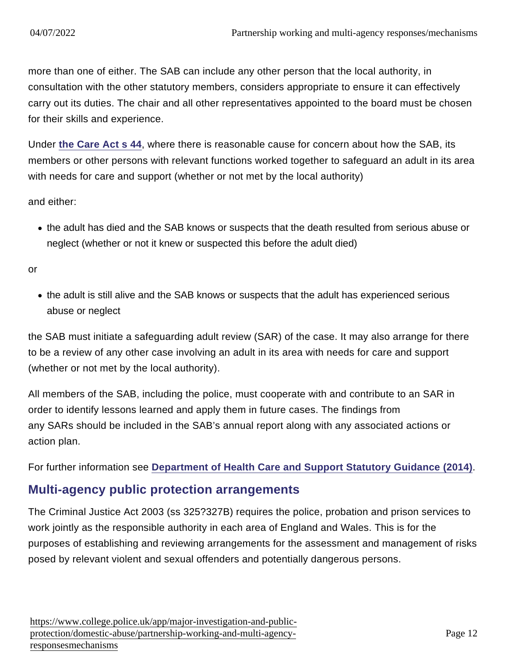more than one of either. The SAB can include any other person that the local authority, in consultation with the other statutory members, considers appropriate to ensure it can effectively carry out its duties. The chair and all other representatives appointed to the board must be chosen for their skills and experience.

Under [the Care Act s 44](http://www.legislation.gov.uk/ukpga/2014/23/section/44/enacted) , where there is reasonable cause for concern about how the SAB, its members or other persons with relevant functions worked together to safeguard an adult in its area with needs for care and support (whether or not met by the local authority)

and either:

the adult has died and the SAB knows or suspects that the death resulted from serious abuse or neglect (whether or not it knew or suspected this before the adult died)

or

the adult is still alive and the SAB knows or suspects that the adult has experienced serious abuse or neglect

the SAB must initiate a safeguarding adult review (SAR) of the case. It may also arrange for there to be a review of any other case involving an adult in its area with needs for care and support (whether or not met by the local authority).

All members of the SAB, including the police, must cooperate with and contribute to an SAR in order to identify lessons learned and apply them in future cases. The findings from any SARs should be included in the SAB's annual report along with any associated actions or action plan.

For further information see [Department of Health Care and Support Statutory Guidance \(2014\)](https://www.gov.uk/government/publications/care-act-2014-statutory-guidance-for-implementation#page=265) .

#### Multi-agency public protection arrangements

The Criminal Justice Act 2003 (ss 325?327B) requires the police, probation and prison services to work jointly as the responsible authority in each area of England and Wales. This is for the purposes of establishing and reviewing arrangements for the assessment and management of risks posed by relevant violent and sexual offenders and potentially dangerous persons.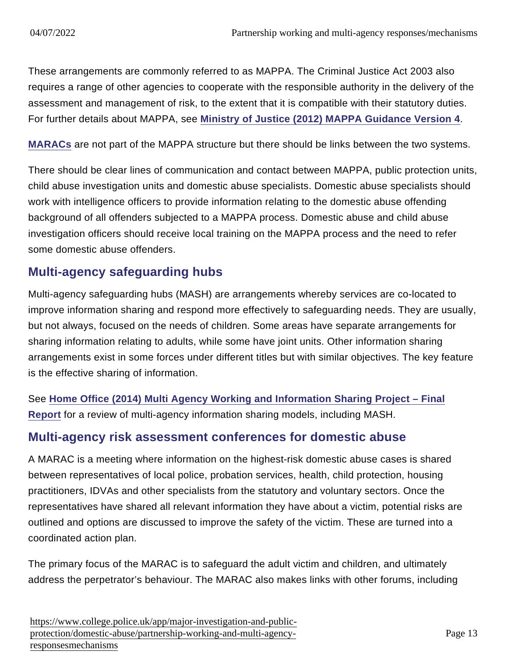These arrangements are commonly referred to as MAPPA. The Criminal Justice Act 2003 also requires a range of other agencies to cooperate with the responsible authority in the delivery of the assessment and management of risk, to the extent that it is compatible with their statutory duties. For further details about MAPPA, see [Ministry of Justice \(2012\) MAPPA Guidance Version 4](https://www.gov.uk/government/uploads/system/uploads/attachment_data/file/281225/mappa-guidance-2012-part1.pdf) .

[MARACs](https://www.app.college.police.uk/consultation/domestic-abuse-consultation/partnership-working-and-multi-agency-responses-consultation/#multi-agency-risk-assessment-conferences-for-domestic-abuse-) are not part of the MAPPA structure but there should be links between the two systems.

There should be clear lines of communication and contact between MAPPA, public protection units, child abuse investigation units and domestic abuse specialists. Domestic abuse specialists should work with intelligence officers to provide information relating to the domestic abuse offending background of all offenders subjected to a MAPPA process. Domestic abuse and child abuse investigation officers should receive local training on the MAPPA process and the need to refer some domestic abuse offenders.

# Multi-agency safeguarding hubs

Multi-agency safeguarding hubs (MASH) are arrangements whereby services are co-located to improve information sharing and respond more effectively to safeguarding needs. They are usually, but not always, focused on the needs of children. Some areas have separate arrangements for sharing information relating to adults, while some have joint units. Other information sharing arrangements exist in some forces under different titles but with similar objectives. The key feature is the effective sharing of information.

See [Home Office \(2014\) Multi Agency Working and Information Sharing Project – Final](https://www.gov.uk/government/publications/multi-agency-working-and-information-sharing-project) [Report](https://www.gov.uk/government/publications/multi-agency-working-and-information-sharing-project) for a review of multi-agency information sharing models, including MASH.

#### Multi-agency risk assessment conferences for domestic abuse

A MARAC is a meeting where information on the highest-risk domestic abuse cases is shared between representatives of local police, probation services, health, child protection, housing practitioners, IDVAs and other specialists from the statutory and voluntary sectors. Once the representatives have shared all relevant information they have about a victim, potential risks are outlined and options are discussed to improve the safety of the victim. These are turned into a coordinated action plan.

The primary focus of the MARAC is to safeguard the adult victim and children, and ultimately address the perpetrator's behaviour. The MARAC also makes links with other forums, including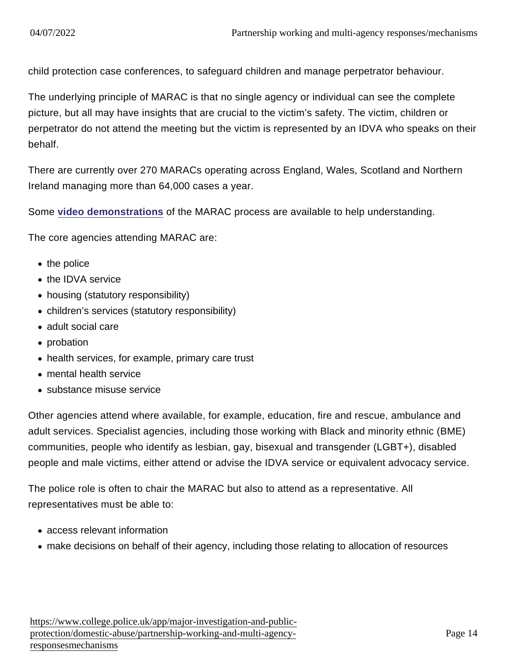child protection case conferences, to safeguard children and manage perpetrator behaviour.

The underlying principle of MARAC is that no single agency or individual can see the complete picture, but all may have insights that are crucial to the victim's safety. The victim, children or perpetrator do not attend the meeting but the victim is represented by an IDVA who speaks on their behalf.

There are currently over 270 MARACs operating across England, Wales, Scotland and Northern Ireland managing more than 64,000 cases a year.

Some [video demonstrations](http://www.safelives.org.uk/practice-support/resources-marac-meetings/marac-videos) of the MARAC process are available to help understanding.

The core agencies attending MARAC are:

- the police
- the IDVA service
- housing (statutory responsibility)
- children's services (statutory responsibility)
- adult social care
- probation
- health services, for example, primary care trust
- mental health service
- substance misuse service

Other agencies attend where available, for example, education, fire and rescue, ambulance and adult services. Specialist agencies, including those working with Black and minority ethnic (BME) communities, people who identify as lesbian, gay, bisexual and transgender (LGBT+), disabled people and male victims, either attend or advise the IDVA service or equivalent advocacy service.

The police role is often to chair the MARAC but also to attend as a representative. All representatives must be able to:

- access relevant information
- make decisions on behalf of their agency, including those relating to allocation of resources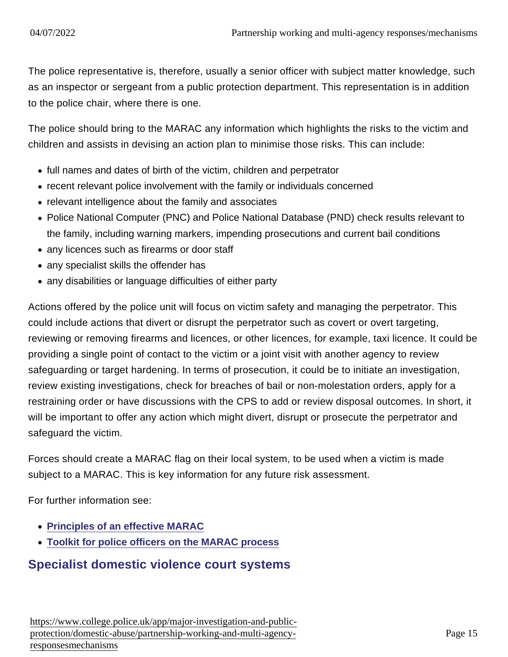The police representative is, therefore, usually a senior officer with subject matter knowledge, such as an inspector or sergeant from a public protection department. This representation is in addition to the police chair, where there is one.

The police should bring to the MARAC any information which highlights the risks to the victim and children and assists in devising an action plan to minimise those risks. This can include:

- full names and dates of birth of the victim, children and perpetrator
- recent relevant police involvement with the family or individuals concerned
- relevant intelligence about the family and associates
- Police National Computer (PNC) and Police National Database (PND) check results relevant to the family, including warning markers, impending prosecutions and current bail conditions
- any licences such as firearms or door staff
- any specialist skills the offender has
- any disabilities or language difficulties of either party

Actions offered by the police unit will focus on victim safety and managing the perpetrator. This could include actions that divert or disrupt the perpetrator such as covert or overt targeting, reviewing or removing firearms and licences, or other licences, for example, taxi licence. It could be providing a single point of contact to the victim or a joint visit with another agency to review safeguarding or target hardening. In terms of prosecution, it could be to initiate an investigation, review existing investigations, check for breaches of bail or non-molestation orders, apply for a restraining order or have discussions with the CPS to add or review disposal outcomes. In short, it will be important to offer any action which might divert, disrupt or prosecute the perpetrator and safeguard the victim.

Forces should create a MARAC flag on their local system, to be used when a victim is made subject to a MARAC. This is key information for any future risk assessment.

For further information see:

- [Principles of an effective MARAC](http://www.safelives.org.uk/sites/default/files/resources/The principles of an effective MARAC FINAL.pdf)
- [Toolkit for police officers on the MARAC process](http://www.safelives.org.uk/node/549)

### Specialist domestic violence court systems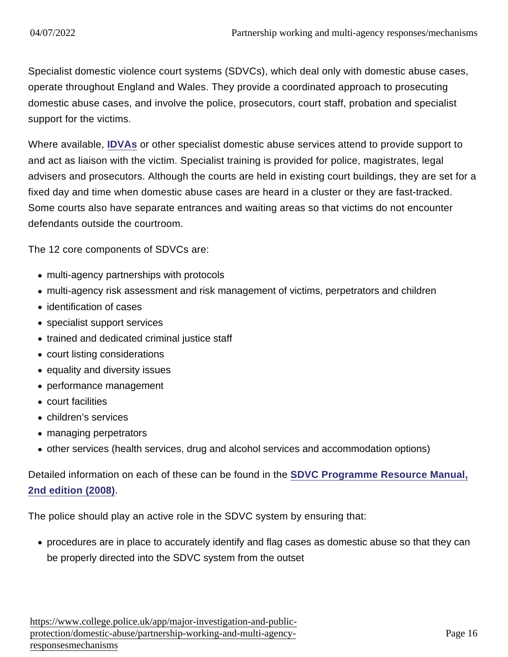Specialist domestic violence court systems (SDVCs), which deal only with domestic abuse cases, operate throughout England and Wales. They provide a coordinated approach to prosecuting domestic abuse cases, and involve the police, prosecutors, court staff, probation and specialist support for the victims.

Where available, [IDVAs](https://www.app.college.police.uk/app-content/major-investigation-and-public-protection/domestic-abuse/victim-safety-and-support/#independent-domestic-violence-adviser-young-people8217s-violence-adviser-and-independent-sexual-violence-advisers) or other specialist domestic abuse services attend to provide support to and act as liaison with the victim. Specialist training is provided for police, magistrates, legal advisers and prosecutors. Although the courts are held in existing court buildings, they are set for a fixed day and time when domestic abuse cases are heard in a cluster or they are fast-tracked. Some courts also have separate entrances and waiting areas so that victims do not encounter defendants outside the courtroom.

The 12 core components of SDVCs are:

- multi-agency partnerships with protocols
- multi-agency risk assessment and risk management of victims, perpetrators and children
- identification of cases
- specialist support services
- trained and dedicated criminal justice staff
- court listing considerations
- equality and diversity issues
- performance management
- court facilities
- children's services
- managing perpetrators
- other services (health services, drug and alcohol services and accommodation options)

Detailed information on each of these can be found in the [SDVC Programme Resource Manual,](http://library.college.police.uk/docs/appref/SDVC-RESOURCE-MANUAL-March-2008.doc) [2nd edition \(2008\)](http://library.college.police.uk/docs/appref/SDVC-RESOURCE-MANUAL-March-2008.doc) .

The police should play an active role in the SDVC system by ensuring that:

procedures are in place to accurately identify and flag cases as domestic abuse so that they can be properly directed into the SDVC system from the outset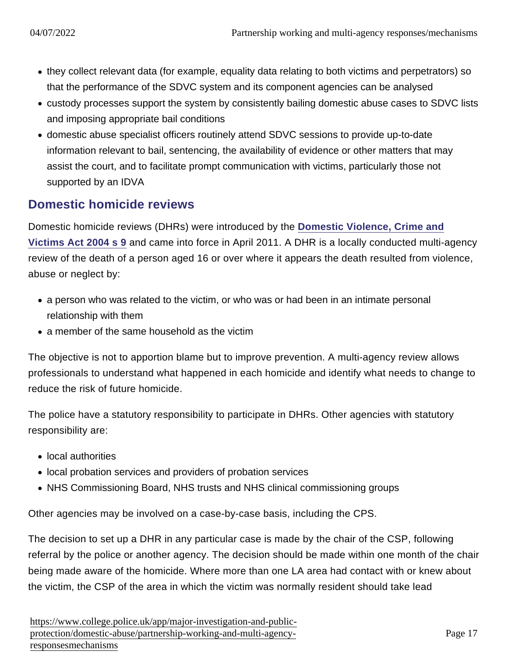- they collect relevant data (for example, equality data relating to both victims and perpetrators) so that the performance of the SDVC system and its component agencies can be analysed
- custody processes support the system by consistently bailing domestic abuse cases to SDVC lists and imposing appropriate bail conditions
- domestic abuse specialist officers routinely attend SDVC sessions to provide up-to-date information relevant to bail, sentencing, the availability of evidence or other matters that may assist the court, and to facilitate prompt communication with victims, particularly those not supported by an IDVA

### Domestic homicide reviews

Domestic homicide reviews (DHRs) were introduced by the [Domestic Violence, Crime and](http://www.legislation.gov.uk/ukpga/2004/28/part/1/crossheading/domestic-homicide-reviews) [Victims Act 2004 s 9](http://www.legislation.gov.uk/ukpga/2004/28/part/1/crossheading/domestic-homicide-reviews) and came into force in April 2011. A DHR is a locally conducted multi-agency review of the death of a person aged 16 or over where it appears the death resulted from violence, abuse or neglect by:

- a person who was related to the victim, or who was or had been in an intimate personal relationship with them
- a member of the same household as the victim

The objective is not to apportion blame but to improve prevention. A multi-agency review allows professionals to understand what happened in each homicide and identify what needs to change to reduce the risk of future homicide.

The police have a statutory responsibility to participate in DHRs. Other agencies with statutory responsibility are:

- local authorities
- local probation services and providers of probation services
- NHS Commissioning Board, NHS trusts and NHS clinical commissioning groups

Other agencies may be involved on a case-by-case basis, including the CPS.

The decision to set up a DHR in any particular case is made by the chair of the CSP, following referral by the police or another agency. The decision should be made within one month of the chair being made aware of the homicide. Where more than one LA area had contact with or knew about the victim, the CSP of the area in which the victim was normally resident should take lead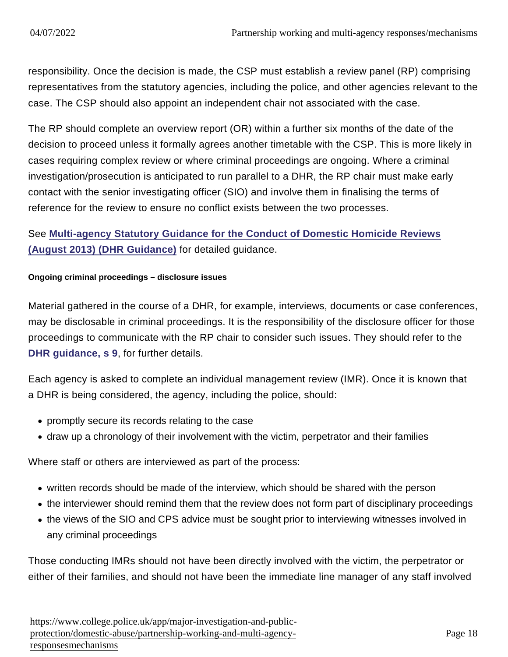responsibility. Once the decision is made, the CSP must establish a review panel (RP) comprising representatives from the statutory agencies, including the police, and other agencies relevant to the case. The CSP should also appoint an independent chair not associated with the case.

The RP should complete an overview report (OR) within a further six months of the date of the decision to proceed unless it formally agrees another timetable with the CSP. This is more likely in cases requiring complex review or where criminal proceedings are ongoing. Where a criminal investigation/prosecution is anticipated to run parallel to a DHR, the RP chair must make early contact with the senior investigating officer (SIO) and involve them in finalising the terms of reference for the review to ensure no conflict exists between the two processes.

See [Multi-agency Statutory Guidance for the Conduct of Domestic Homicide Reviews](https://www.gov.uk/government/publications/revised-statutory-guidance-for-the-conduct-of-domestic-homicide-reviews) [\(August 2013\) \(DHR Guidance\)](https://www.gov.uk/government/publications/revised-statutory-guidance-for-the-conduct-of-domestic-homicide-reviews) for detailed guidance.

Ongoing criminal proceedings – disclosure issues

Material gathered in the course of a DHR, for example, interviews, documents or case conferences, may be disclosable in criminal proceedings. It is the responsibility of the disclosure officer for those proceedings to communicate with the RP chair to consider such issues. They should refer to the [DHR guidance, s 9](https://www.gov.uk/government/publications/revised-statutory-guidance-for-the-conduct-of-domestic-homicide-reviews), for further details.

Each agency is asked to complete an individual management review (IMR). Once it is known that a DHR is being considered, the agency, including the police, should:

- promptly secure its records relating to the case
- draw up a chronology of their involvement with the victim, perpetrator and their families

Where staff or others are interviewed as part of the process:

- written records should be made of the interview, which should be shared with the person
- the interviewer should remind them that the review does not form part of disciplinary proceedings
- the views of the SIO and CPS advice must be sought prior to interviewing witnesses involved in any criminal proceedings

Those conducting IMRs should not have been directly involved with the victim, the perpetrator or either of their families, and should not have been the immediate line manager of any staff involved